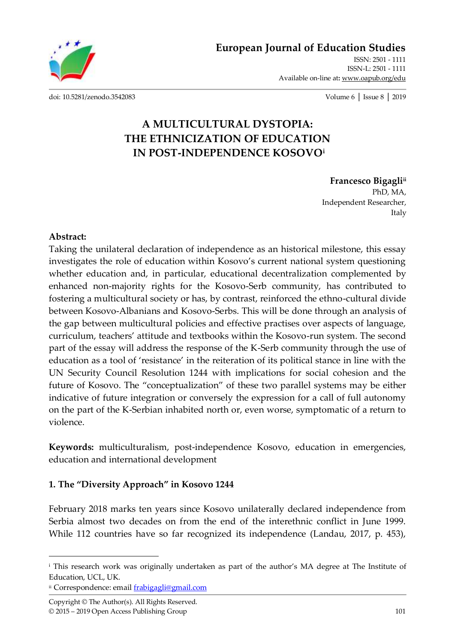**[European Journal of Education Studies](http://oapub.org/edu/index.php/ejes)**

[ISSN: 2501 -](http://oapub.org/edu/index.php/ejes) 1111 [ISSN-L: 2501 -](http://oapub.org/edu/index.php/ejes) 1111 Available on-line at**:** [www.oapub.org/edu](http://www.oapub.org/edu)

[doi: 10.5281/zenodo.3542083](http://dx.doi.org/10.5281/zenodo.3542083) Volume 6 │ Issue 8 │ 2019

# **A MULTICULTURAL DYSTOPIA: THE ETHNICIZATION OF EDUCATION IN POST-INDEPENDENCE KOSOVO<sup>i</sup>**

**Francesco Bigagliii** PhD, MA, Independent Researcher,

Italy

#### **Abstract:**

 $\overline{\phantom{a}}$ 

Taking the unilateral declaration of independence as an historical milestone, this essay investigates the role of education within Kosovo's current national system questioning whether education and, in particular, educational decentralization complemented by enhanced non-majority rights for the Kosovo-Serb community, has contributed to fostering a multicultural society or has, by contrast, reinforced the ethno-cultural divide between Kosovo-Albanians and Kosovo-Serbs. This will be done through an analysis of the gap between multicultural policies and effective practises over aspects of language, curriculum, teachers' attitude and textbooks within the Kosovo-run system. The second part of the essay will address the response of the K-Serb community through the use of education as a tool of 'resistance' in the reiteration of its political stance in line with the UN Security Council Resolution 1244 with implications for social cohesion and the future of Kosovo. The "conceptualization" of these two parallel systems may be either indicative of future integration or conversely the expression for a call of full autonomy on the part of the K-Serbian inhabited north or, even worse, symptomatic of a return to violence.

**Keywords:** multiculturalism, post-independence Kosovo, education in emergencies, education and international development

### **1. The "Diversity Approach" in Kosovo 1244**

February 2018 marks ten years since Kosovo unilaterally declared independence from Serbia almost two decades on from the end of the interethnic conflict in June 1999. While 112 countries have so far recognized its independence (Landau, 2017, p. 453),

ii Correspondence: emai[l frabigagli@gmail.com](mailto:frabigagli@gmail.com)

<sup>&</sup>lt;sup>i</sup> This research work was originally undertaken as part of the author's MA degree at The Institute of Education, UCL, UK.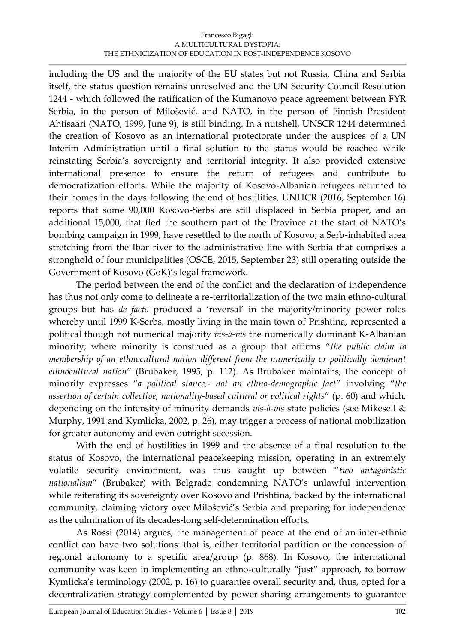#### Francesco Bigagli A MULTICULTURAL DYSTOPIA: THE ETHNICIZATION OF EDUCATION IN POST-INDEPENDENCE KOSOVO

including the US and the majority of the EU states but not Russia, China and Serbia itself, the status question remains unresolved and the UN Security Council Resolution 1244 - which followed the ratification of the Kumanovo peace agreement between FYR Serbia, in the person of Milošević, and NATO, in the person of Finnish President Ahtisaari (NATO, 1999, June 9), is still binding. In a nutshell, UNSCR 1244 determined the creation of Kosovo as an international protectorate under the auspices of a UN Interim Administration until a final solution to the status would be reached while reinstating Serbia's sovereignty and territorial integrity. It also provided extensive international presence to ensure the return of refugees and contribute to democratization efforts. While the majority of Kosovo-Albanian refugees returned to their homes in the days following the end of hostilities, UNHCR (2016, September 16) reports that some 90,000 Kosovo-Serbs are still displaced in Serbia proper, and an additional 15,000, that fled the southern part of the Province at the start of NATO's bombing campaign in 1999, have resettled to the north of Kosovo; a Serb-inhabited area stretching from the Ibar river to the administrative line with Serbia that comprises a stronghold of four municipalities (OSCE, 2015, September 23) still operating outside the Government of Kosovo (GoK)'s legal framework.

The period between the end of the conflict and the declaration of independence has thus not only come to delineate a re-territorialization of the two main ethno-cultural groups but has *de facto* produced a 'reversal' in the majority/minority power roles whereby until 1999 K-Serbs, mostly living in the main town of Prishtina, represented a political though not numerical majority *vis-à-vis* the numerically dominant K-Albanian minority; where minority is construed as a group that affirms "*the public claim to membership of an ethnocultural nation different from the numerically or politically dominant ethnocultural nation*" (Brubaker, 1995, p. 112). As Brubaker maintains, the concept of minority expresses "*a political stance,- not an ethno-demographic fact*" involving "*the assertion of certain collective, nationality-based cultural or political rights*" (p. 60) and which, depending on the intensity of minority demands *vis-à-vis* state policies (see Mikesell & Murphy, 1991 and Kymlicka, 2002, p. 26), may trigger a process of national mobilization for greater autonomy and even outright secession.

With the end of hostilities in 1999 and the absence of a final resolution to the status of Kosovo, the international peacekeeping mission, operating in an extremely volatile security environment, was thus caught up between "*two antagonistic nationalism*" (Brubaker) with Belgrade condemning NATO's unlawful intervention while reiterating its sovereignty over Kosovo and Prishtina, backed by the international community, claiming victory over Milošević's Serbia and preparing for independence as the culmination of its decades-long self-determination efforts.

As Rossi (2014) argues, the management of peace at the end of an inter-ethnic conflict can have two solutions: that is, either territorial partition or the concession of regional autonomy to a specific area/group (p. 868). In Kosovo, the international community was keen in implementing an ethno-culturally "just" approach, to borrow Kymlicka's terminology (2002, p. 16) to guarantee overall security and, thus, opted for a decentralization strategy complemented by power-sharing arrangements to guarantee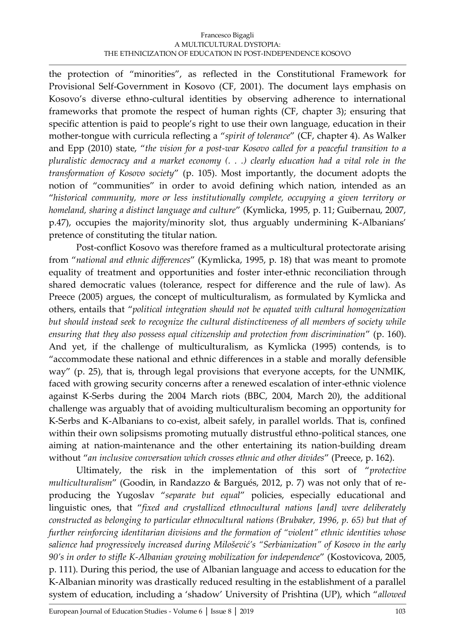the protection of "minorities", as reflected in the Constitutional Framework for Provisional Self-Government in Kosovo (CF, 2001). The document lays emphasis on Kosovo's diverse ethno-cultural identities by observing adherence to international frameworks that promote the respect of human rights (CF, chapter 3); ensuring that specific attention is paid to people's right to use their own language, education in their mother-tongue with curricula reflecting a "*spirit of tolerance*" (CF, chapter 4). As Walker and Epp (2010) state, "*the vision for a post-war Kosovo called for a peaceful transition to a pluralistic democracy and a market economy (. . .) clearly education had a vital role in the transformation of Kosovo society*" (p. 105). Most importantly, the document adopts the notion of "communities" in order to avoid defining which nation, intended as an "*historical community, more or less institutionally complete, occupying a given territory or homeland, sharing a distinct language and culture*" (Kymlicka, 1995, p. 11; Guibernau, 2007, p.47), occupies the majority/minority slot, thus arguably undermining K-Albanians' pretence of constituting the titular nation.

Post-conflict Kosovo was therefore framed as a multicultural protectorate arising from "*national and ethnic differences*" (Kymlicka, 1995, p. 18) that was meant to promote equality of treatment and opportunities and foster inter-ethnic reconciliation through shared democratic values (tolerance, respect for difference and the rule of law). As Preece (2005) argues, the concept of multiculturalism, as formulated by Kymlicka and others, entails that "*political integration should not be equated with cultural homogenization but should instead seek to recognize the cultural distinctiveness of all members of society while ensuring that they also possess equal citizenship and protection from discrimination*" (p. 160). And yet, if the challenge of multiculturalism, as Kymlicka (1995) contends, is to "accommodate these national and ethnic differences in a stable and morally defensible way" (p. 25), that is, through legal provisions that everyone accepts, for the UNMIK, faced with growing security concerns after a renewed escalation of inter-ethnic violence against K-Serbs during the 2004 March riots (BBC, 2004, March 20), the additional challenge was arguably that of avoiding multiculturalism becoming an opportunity for K-Serbs and K-Albanians to co-exist, albeit safely, in parallel worlds. That is, confined within their own solipsisms promoting mutually distrustful ethno-political stances, one aiming at nation-maintenance and the other entertaining its nation-building dream without "*an inclusive conversation which crosses ethnic and other divides*" (Preece, p. 162).

Ultimately, the risk in the implementation of this sort of "*protective multiculturalism*" (Goodin, in Randazzo & Bargués, 2012, p. 7) was not only that of reproducing the Yugoslav "*separate but equal*" policies, especially educational and linguistic ones, that "*fixed and crystallized ethnocultural nations [and] were deliberately constructed as belonging to particular ethnocultural nations (Brubaker, 1996, p. 65) but that of further reinforcing identitarian divisions and the formation of "violent" ethnic identities whose salience had progressively increased during Milošević's "Serbianization" of Kosovo in the early 90's in order to stifle K-Albanian growing mobilization for independence*" (Kostovicova, 2005, p. 111). During this period, the use of Albanian language and access to education for the K-Albanian minority was drastically reduced resulting in the establishment of a parallel system of education, including a 'shadow' University of Prishtina (UP), which "*allowed*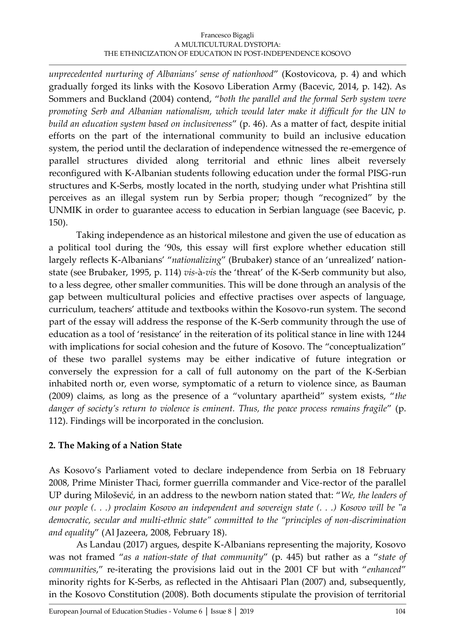#### Francesco Bigagli A MULTICULTURAL DYSTOPIA: THE ETHNICIZATION OF EDUCATION IN POST-INDEPENDENCE KOSOVO

*unprecedented nurturing of Albanians' sense of nationhood*" (Kostovicova, p. 4) and which gradually forged its links with the Kosovo Liberation Army (Bacevic, 2014, p. 142). As Sommers and Buckland (2004) contend, "*both the parallel and the formal Serb system were promoting Serb and Albanian nationalism, which would later make it difficult for the UN to build an education system based on inclusiveness*" (p. 46). As a matter of fact, despite initial efforts on the part of the international community to build an inclusive education system, the period until the declaration of independence witnessed the re-emergence of parallel structures divided along territorial and ethnic lines albeit reversely reconfigured with K-Albanian students following education under the formal PISG-run structures and K-Serbs, mostly located in the north, studying under what Prishtina still perceives as an illegal system run by Serbia proper; though "recognized" by the UNMIK in order to guarantee access to education in Serbian language (see Bacevic, p. 150).

Taking independence as an historical milestone and given the use of education as a political tool during the '90s, this essay will first explore whether education still largely reflects K-Albanians' "*nationalizing*" (Brubaker) stance of an 'unrealized' nationstate (see Brubaker, 1995, p. 114) *vis-*à*-vis* the 'threat' of the K-Serb community but also, to a less degree, other smaller communities. This will be done through an analysis of the gap between multicultural policies and effective practises over aspects of language, curriculum, teachers' attitude and textbooks within the Kosovo-run system. The second part of the essay will address the response of the K-Serb community through the use of education as a tool of 'resistance' in the reiteration of its political stance in line with 1244 with implications for social cohesion and the future of Kosovo. The "conceptualization" of these two parallel systems may be either indicative of future integration or conversely the expression for a call of full autonomy on the part of the K-Serbian inhabited north or, even worse, symptomatic of a return to violence since, as Bauman (2009) claims, as long as the presence of a "voluntary apartheid" system exists, "*the danger of society's return to violence is eminent. Thus, the peace process remains fragile*" (p. 112). Findings will be incorporated in the conclusion.

# **2. The Making of a Nation State**

As Kosovo's Parliament voted to declare independence from Serbia on 18 February 2008, Prime Minister Thaci, former guerrilla commander and Vice-rector of the parallel UP during Milošević, in an address to the newborn nation stated that: "*We, the leaders of our people (. . .) proclaim Kosovo an independent and sovereign state (. . .) Kosovo will be* "*a democratic, secular and multi-ethnic state" committed to the "principles of non-discrimination and equality*" (Al Jazeera, 2008, February 18).

As Landau (2017) argues, despite K-Albanians representing the majority, Kosovo was not framed "*as a nation-state of that community*" (p. 445) but rather as a "*state of communities*," re-iterating the provisions laid out in the 2001 CF but with "*enhanced*" minority rights for K-Serbs, as reflected in the Ahtisaari Plan (2007) and, subsequently, in the Kosovo Constitution (2008). Both documents stipulate the provision of territorial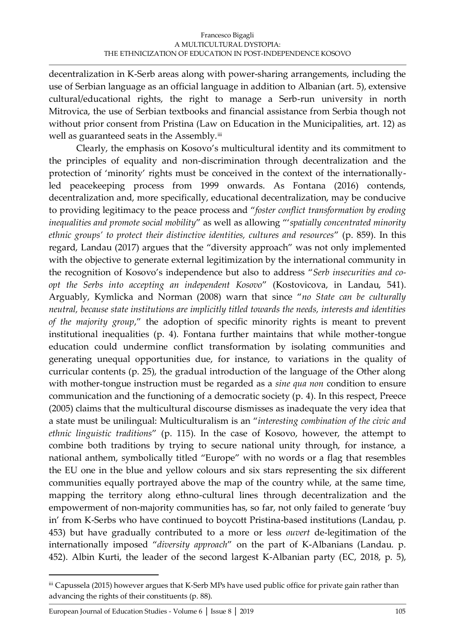decentralization in K-Serb areas along with power-sharing arrangements, including the use of Serbian language as an official language in addition to Albanian (art. 5), extensive cultural/educational rights, the right to manage a Serb-run university in north Mitrovica, the use of Serbian textbooks and financial assistance from Serbia though not without prior consent from Pristina (Law on Education in the Municipalities, art. 12) as well as guaranteed seats in the Assembly.<sup>iii</sup>

Clearly, the emphasis on Kosovo's multicultural identity and its commitment to the principles of equality and non-discrimination through decentralization and the protection of 'minority' rights must be conceived in the context of the internationallyled peacekeeping process from 1999 onwards. As Fontana (2016) contends, decentralization and, more specifically, educational decentralization, may be conducive to providing legitimacy to the peace process and "*foster conflict transformation by eroding inequalities and promote social mobility*" as well as allowing "'*spatially concentrated minority ethnic groups' to protect their distinctive identities, cultures and resources*" (p. 859). In this regard, Landau (2017) argues that the "diversity approach" was not only implemented with the objective to generate external legitimization by the international community in the recognition of Kosovo's independence but also to address "*Serb insecurities and coopt the Serbs into accepting an independent Kosovo*" (Kostovicova, in Landau, 541). Arguably, Kymlicka and Norman (2008) warn that since "*no State can be culturally neutral, because state institutions are implicitly titled towards the needs, interests and identities of the majority group*," the adoption of specific minority rights is meant to prevent institutional inequalities (p. 4). Fontana further maintains that while mother-tongue education could undermine conflict transformation by isolating communities and generating unequal opportunities due, for instance, to variations in the quality of curricular contents (p. 25), the gradual introduction of the language of the Other along with mother-tongue instruction must be regarded as a *sine qua non* condition to ensure communication and the functioning of a democratic society (p. 4). In this respect, Preece (2005) claims that the multicultural discourse dismisses as inadequate the very idea that a state must be unilingual: Multiculturalism is an "*interesting combination of the civic and ethnic linguistic traditions*" (p. 115). In the case of Kosovo, however, the attempt to combine both traditions by trying to secure national unity through, for instance, a national anthem, symbolically titled "Europe" with no words or a flag that resembles the EU one in the blue and yellow colours and six stars representing the six different communities equally portrayed above the map of the country while, at the same time, mapping the territory along ethno-cultural lines through decentralization and the empowerment of non-majority communities has, so far, not only failed to generate 'buy in' from K-Serbs who have continued to boycott Pristina-based institutions (Landau, p. 453) but have gradually contributed to a more or less *ouvert* de-legitimation of the internationally imposed "*diversity approach*" on the part of K-Albanians (Landau. p. 452). Albin Kurti, the leader of the second largest K-Albanian party (EC, 2018, p. 5),

 $\overline{\phantom{a}}$ 

iii Capussela (2015) however argues that K-Serb MPs have used public office for private gain rather than advancing the rights of their constituents (p. 88).

[European Journal of Education Studies -](http://oapub.org/edu/index.php/ejes) Volume 6 [│](http://oapub.org/edu/index.php/ejes) [Issue 8](http://oapub.org/edu/index.php/ejes) [│](http://oapub.org/edu/index.php/ejes) [2019](http://oapub.org/edu/index.php/ejes) 105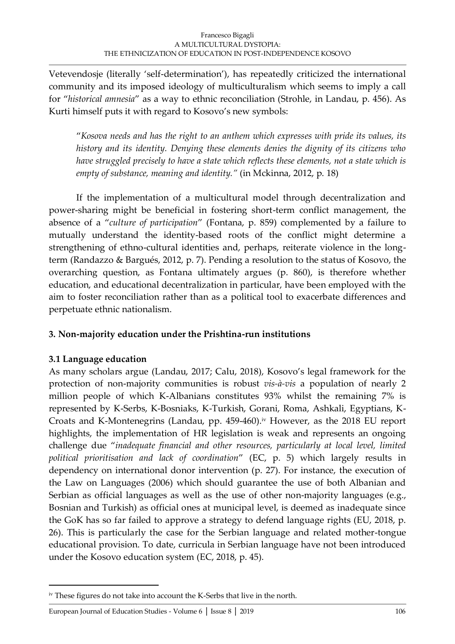Vetevendosje (literally 'self-determination'), has repeatedly criticized the international community and its imposed ideology of multiculturalism which seems to imply a call for "*historical amnesia*" as a way to ethnic reconciliation (Strohle, in Landau, p. 456). As Kurti himself puts it with regard to Kosovo's new symbols:

"*Kosova needs and has the right to an anthem which expresses with pride its values, its history and its identity. Denying these elements denies the dignity of its citizens who have struggled precisely to have a state which reflects these elements, not a state which is empty of substance, meaning and identity."* (in Mckinna, 2012, p. 18)

If the implementation of a multicultural model through decentralization and power-sharing might be beneficial in fostering short-term conflict management, the absence of a "*culture of participation*" (Fontana, p. 859) complemented by a failure to mutually understand the identity-based roots of the conflict might determine a strengthening of ethno-cultural identities and, perhaps, reiterate violence in the longterm (Randazzo & Bargués, 2012, p. 7). Pending a resolution to the status of Kosovo, the overarching question, as Fontana ultimately argues (p. 860), is therefore whether education, and educational decentralization in particular, have been employed with the aim to foster reconciliation rather than as a political tool to exacerbate differences and perpetuate ethnic nationalism.

### **3. Non-majority education under the Prishtina-run institutions**

### **3.1 Language education**

 $\overline{\phantom{a}}$ 

As many scholars argue (Landau, 2017; Calu, 2018), Kosovo's legal framework for the protection of non-majority communities is robust *vis-à-vis* a population of nearly 2 million people of which K-Albanians constitutes 93% whilst the remaining 7% is represented by K-Serbs, K-Bosniaks, K-Turkish, Gorani, Roma, Ashkali, Egyptians, K-Croats and K-Montenegrins (Landau, pp. 459-460).<sup>iv</sup> However, as the 2018 EU report highlights, the implementation of HR legislation is weak and represents an ongoing challenge due "*inadequate financial and other resources, particularly at local level, limited political prioritisation and lack of coordination*" (EC, p. 5) which largely results in dependency on international donor intervention (p. 27). For instance, the execution of the Law on Languages (2006) which should guarantee the use of both Albanian and Serbian as official languages as well as the use of other non-majority languages (e.g., Bosnian and Turkish) as official ones at municipal level, is deemed as inadequate since the GoK has so far failed to approve a strategy to defend language rights (EU, 2018, p. 26). This is particularly the case for the Serbian language and related mother-tongue educational provision. To date, curricula in Serbian language have not been introduced under the Kosovo education system (EC, 2018, p. 45).

<sup>&</sup>lt;sup>iv</sup> These figures do not take into account the K-Serbs that live in the north.

[European Journal of Education Studies -](http://oapub.org/edu/index.php/ejes) Volume 6 [│](http://oapub.org/edu/index.php/ejes) [Issue 8](http://oapub.org/edu/index.php/ejes) [│](http://oapub.org/edu/index.php/ejes) [2019](http://oapub.org/edu/index.php/ejes) 106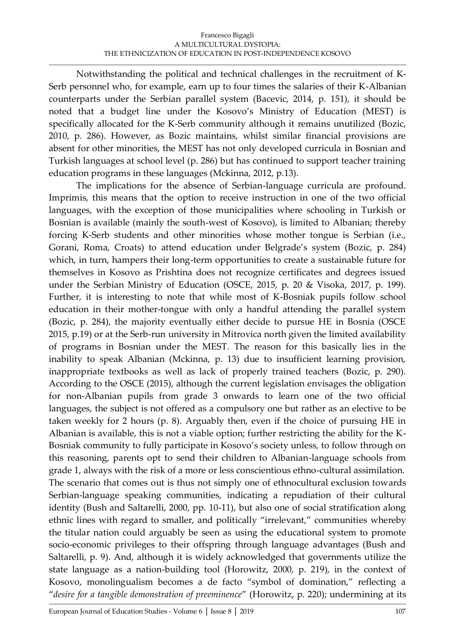Notwithstanding the political and technical challenges in the recruitment of K-Serb personnel who, for example, earn up to four times the salaries of their K-Albanian counterparts under the Serbian parallel system (Bacevic, 2014, p. 151), it should be noted that a budget line under the Kosovo's Ministry of Education (MEST) is specifically allocated for the K-Serb community although it remains unutilized (Bozic, 2010, p. 286). However, as Bozic maintains, whilst similar financial provisions are absent for other minorities, the MEST has not only developed curricula in Bosnian and Turkish languages at school level (p. 286) but has continued to support teacher training education programs in these languages (Mckinna, 2012, p.13).

The implications for the absence of Serbian-language curricula are profound. Imprimis, this means that the option to receive instruction in one of the two official languages, with the exception of those municipalities where schooling in Turkish or Bosnian is available (mainly the south-west of Kosovo), is limited to Albanian; thereby forcing K-Serb students and other minorities whose mother tongue is Serbian (i.e., Gorani, Roma, Croats) to attend education under Belgrade's system (Bozic, p. 284) which, in turn, hampers their long-term opportunities to create a sustainable future for themselves in Kosovo as Prishtina does not recognize certificates and degrees issued under the Serbian Ministry of Education (OSCE, 2015, p. 20 & Visoka, 2017, p. 199). Further, it is interesting to note that while most of K-Bosniak pupils follow school education in their mother-tongue with only a handful attending the parallel system (Bozic, p. 284), the majority eventually either decide to pursue HE in Bosnia (OSCE 2015, p.19) or at the Serb-run university in Mitrovica north given the limited availability of programs in Bosnian under the MEST. The reason for this basically lies in the inability to speak Albanian (Mckinna, p. 13) due to insufficient learning provision, inappropriate textbooks as well as lack of properly trained teachers (Bozic, p. 290). According to the OSCE (2015), although the current legislation envisages the obligation for non-Albanian pupils from grade 3 onwards to learn one of the two official languages, the subject is not offered as a compulsory one but rather as an elective to be taken weekly for 2 hours (p. 8). Arguably then, even if the choice of pursuing HE in Albanian is available, this is not a viable option; further restricting the ability for the K-Bosniak community to fully participate in Kosovo's society unless, to follow through on this reasoning, parents opt to send their children to Albanian-language schools from grade 1, always with the risk of a more or less conscientious ethno-cultural assimilation. The scenario that comes out is thus not simply one of ethnocultural exclusion towards Serbian-language speaking communities, indicating a repudiation of their cultural identity (Bush and Saltarelli, 2000, pp. 10-11), but also one of social stratification along ethnic lines with regard to smaller, and politically "irrelevant," communities whereby the titular nation could arguably be seen as using the educational system to promote socio-economic privileges to their offspring through language advantages (Bush and Saltarelli, p. 9). And, although it is widely acknowledged that governments utilize the state language as a nation-building tool (Horowitz, 2000, p. 219), in the context of Kosovo, monolingualism becomes a de facto "symbol of domination," reflecting a "*desire for a tangible demonstration of preeminence*" (Horowitz, p. 220); undermining at its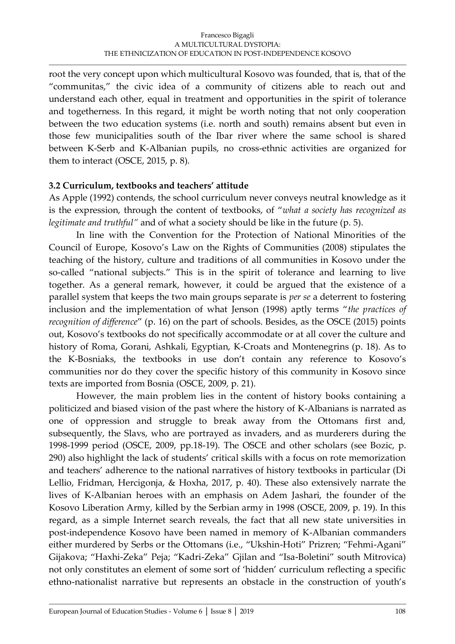root the very concept upon which multicultural Kosovo was founded, that is, that of the "communitas," the civic idea of a community of citizens able to reach out and understand each other, equal in treatment and opportunities in the spirit of tolerance and togetherness. In this regard, it might be worth noting that not only cooperation between the two education systems (i.e. north and south) remains absent but even in those few municipalities south of the Ibar river where the same school is shared between K-Serb and K-Albanian pupils, no cross-ethnic activities are organized for them to interact (OSCE, 2015, p. 8).

### **3.2 Curriculum, textbooks and teachers' attitude**

As Apple (1992) contends, the school curriculum never conveys neutral knowledge as it is the expression, through the content of textbooks, of "*what a society has recognized as legitimate and truthful"* and of what a society should be like in the future (p. 5).

In line with the Convention for the Protection of National Minorities of the Council of Europe, Kosovo's Law on the Rights of Communities (2008) stipulates the teaching of the history, culture and traditions of all communities in Kosovo under the so-called "national subjects." This is in the spirit of tolerance and learning to live together. As a general remark, however, it could be argued that the existence of a parallel system that keeps the two main groups separate is *per se* a deterrent to fostering inclusion and the implementation of what Jenson (1998) aptly terms "*the practices of recognition of difference*" (p. 16) on the part of schools. Besides, as the OSCE (2015) points out, Kosovo's textbooks do not specifically accommodate or at all cover the culture and history of Roma, Gorani, Ashkali, Egyptian, K-Croats and Montenegrins (p. 18). As to the K-Bosniaks, the textbooks in use don't contain any reference to Kosovo's communities nor do they cover the specific history of this community in Kosovo since texts are imported from Bosnia (OSCE, 2009, p. 21).

However, the main problem lies in the content of history books containing a politicized and biased vision of the past where the history of K-Albanians is narrated as one of oppression and struggle to break away from the Ottomans first and, subsequently, the Slavs, who are portrayed as invaders, and as murderers during the 1998-1999 period (OSCE, 2009, pp.18-19). The OSCE and other scholars (see Bozic, p. 290) also highlight the lack of students' critical skills with a focus on rote memorization and teachers' adherence to the national narratives of history textbooks in particular (Di Lellio, Fridman, Hercigonja, & Hoxha, 2017, p. 40). These also extensively narrate the lives of K-Albanian heroes with an emphasis on Adem Jashari, the founder of the Kosovo Liberation Army, killed by the Serbian army in 1998 (OSCE, 2009, p. 19). In this regard, as a simple Internet search reveals, the fact that all new state universities in post-independence Kosovo have been named in memory of K-Albanian commanders either murdered by Serbs or the Ottomans (i.e., "Ukshin-Hoti" Prizren; "Fehmi-Agani" Gijakova; "Haxhi-Zeka" Peja; "Kadri-Zeka" Gjilan and "Isa-Boletini" south Mitrovica) not only constitutes an element of some sort of 'hidden' curriculum reflecting a specific ethno-nationalist narrative but represents an obstacle in the construction of youth's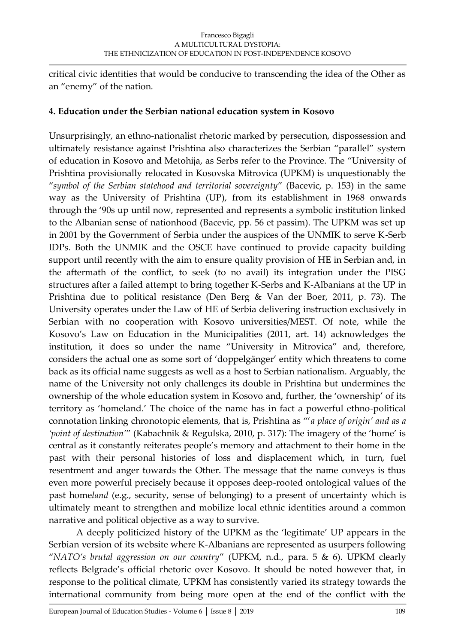critical civic identities that would be conducive to transcending the idea of the Other as an "enemy" of the nation.

### **4. Education under the Serbian national education system in Kosovo**

Unsurprisingly, an ethno-nationalist rhetoric marked by persecution, dispossession and ultimately resistance against Prishtina also characterizes the Serbian "parallel" system of education in Kosovo and Metohija, as Serbs refer to the Province. The "University of Prishtina provisionally relocated in Kosovska Mitrovica (UPKM) is unquestionably the "*symbol of the Serbian statehood and territorial sovereignty*" (Bacevic, p. 153) in the same way as the University of Prishtina (UP), from its establishment in 1968 onwards through the '90s up until now, represented and represents a symbolic institution linked to the Albanian sense of nationhood (Bacevic, pp. 56 et passim). The UPKM was set up in 2001 by the Government of Serbia under the auspices of the UNMIK to serve K-Serb IDPs. Both the UNMIK and the OSCE have continued to provide capacity building support until recently with the aim to ensure quality provision of HE in Serbian and, in the aftermath of the conflict, to seek (to no avail) its integration under the PISG structures after a failed attempt to bring together K-Serbs and K-Albanians at the UP in Prishtina due to political resistance (Den Berg & Van der Boer, 2011, p. 73). The University operates under the Law of HE of Serbia delivering instruction exclusively in Serbian with no cooperation with Kosovo universities/MEST. Of note, while the Kosovo's Law on Education in the Municipalities (2011, art. 14) acknowledges the institution, it does so under the name "University in Mitrovica" and, therefore, considers the actual one as some sort of 'doppelgänger' entity which threatens to come back as its official name suggests as well as a host to Serbian nationalism. Arguably, the name of the University not only challenges its double in Prishtina but undermines the ownership of the whole education system in Kosovo and, further, the 'ownership' of its territory as 'homeland.' The choice of the name has in fact a powerful ethno-political connotation linking chronotopic elements, that is, Prishtina as "'*a place of origin' and as a 'point of destination'*" (Kabachnik & Regulska, 2010, p. 317): The imagery of the 'home' is central as it constantly reiterates people's memory and attachment to their home in the past with their personal histories of loss and displacement which, in turn, fuel resentment and anger towards the Other. The message that the name conveys is thus even more powerful precisely because it opposes deep-rooted ontological values of the past home*land* (e.g., security, sense of belonging) to a present of uncertainty which is ultimately meant to strengthen and mobilize local ethnic identities around a common narrative and political objective as a way to survive.

A deeply politicized history of the UPKM as the 'legitimate' UP appears in the Serbian version of its website where K-Albanians are represented as usurpers following "*NATO's brutal aggression on our country*" (UPKM, n.d., para. 5 & 6). UPKM clearly reflects Belgrade's official rhetoric over Kosovo. It should be noted however that, in response to the political climate, UPKM has consistently varied its strategy towards the international community from being more open at the end of the conflict with the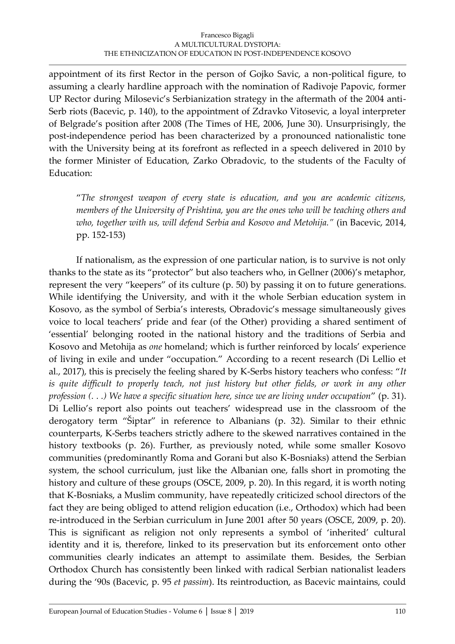appointment of its first Rector in the person of Gojko Savic, a non-political figure, to assuming a clearly hardline approach with the nomination of Radivoje Papovic, former UP Rector during Milosevic's Serbianization strategy in the aftermath of the 2004 anti-Serb riots (Bacevic, p. 140), to the appointment of Zdravko Vitosevic, a loyal interpreter of Belgrade's position after 2008 (The Times of HE, 2006, June 30). Unsurprisingly, the post-independence period has been characterized by a pronounced nationalistic tone with the University being at its forefront as reflected in a speech delivered in 2010 by the former Minister of Education, Zarko Obradovic, to the students of the Faculty of Education:

"*The strongest weapon of every state is education, and you are academic citizens, members of the University of Prishtina, you are the ones who will be teaching others and who, together with us, will defend Serbia and Kosovo and Metohija."* (in Bacevic, 2014, pp. 152-153)

If nationalism, as the expression of one particular nation, is to survive is not only thanks to the state as its "protector" but also teachers who, in Gellner (2006)'s metaphor, represent the very "keepers" of its culture (p. 50) by passing it on to future generations. While identifying the University, and with it the whole Serbian education system in Kosovo, as the symbol of Serbia's interests, Obradovic's message simultaneously gives voice to local teachers' pride and fear (of the Other) providing a shared sentiment of 'essential' belonging rooted in the national history and the traditions of Serbia and Kosovo and Metohija as *one* homeland; which is further reinforced by locals' experience of living in exile and under "occupation." According to a recent research (Di Lellio et al., 2017), this is precisely the feeling shared by K-Serbs history teachers who confess: "*It*  is quite difficult to properly teach, not just history but other fields, or work in any other *profession (. . .) We have a specific situation here, since we are living under occupation*" (p. 31). Di Lellio's report also points out teachers' widespread use in the classroom of the derogatory term "Šiptar" in reference to Albanians (p. 32). Similar to their ethnic counterparts, K-Serbs teachers strictly adhere to the skewed narratives contained in the history textbooks (p. 26). Further, as previously noted, while some smaller Kosovo communities (predominantly Roma and Gorani but also K-Bosniaks) attend the Serbian system, the school curriculum, just like the Albanian one, falls short in promoting the history and culture of these groups (OSCE, 2009, p. 20). In this regard, it is worth noting that K-Bosniaks, a Muslim community, have repeatedly criticized school directors of the fact they are being obliged to attend religion education (i.e., Orthodox) which had been re-introduced in the Serbian curriculum in June 2001 after 50 years (OSCE, 2009, p. 20). This is significant as religion not only represents a symbol of 'inherited' cultural identity and it is, therefore, linked to its preservation but its enforcement onto other communities clearly indicates an attempt to assimilate them. Besides, the Serbian Orthodox Church has consistently been linked with radical Serbian nationalist leaders during the '90s (Bacevic, p. 95 *et passim*). Its reintroduction, as Bacevic maintains, could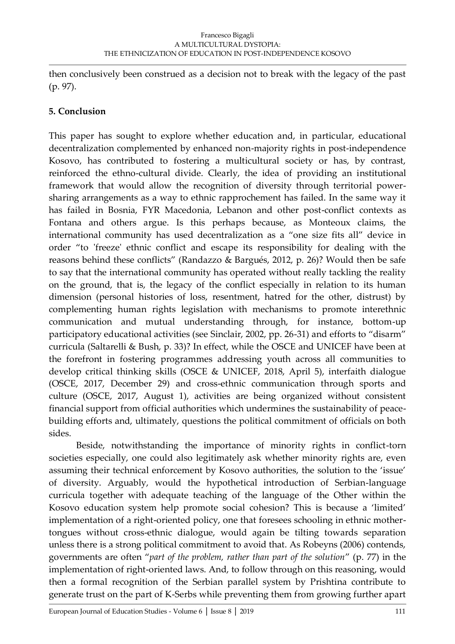then conclusively been construed as a decision not to break with the legacy of the past (p. 97).

## **5. Conclusion**

This paper has sought to explore whether education and, in particular, educational decentralization complemented by enhanced non-majority rights in post-independence Kosovo, has contributed to fostering a multicultural society or has, by contrast, reinforced the ethno-cultural divide. Clearly, the idea of providing an institutional framework that would allow the recognition of diversity through territorial powersharing arrangements as a way to ethnic rapprochement has failed. In the same way it has failed in Bosnia, FYR Macedonia, Lebanon and other post-conflict contexts as Fontana and others argue. Is this perhaps because, as Monteoux claims, the international community has used decentralization as a "one size fits all" device in order "to 'freeze' ethnic conflict and escape its responsibility for dealing with the reasons behind these conflicts" (Randazzo & Bargués, 2012, p. 26)? Would then be safe to say that the international community has operated without really tackling the reality on the ground, that is, the legacy of the conflict especially in relation to its human dimension (personal histories of loss, resentment, hatred for the other, distrust) by complementing human rights legislation with mechanisms to promote interethnic communication and mutual understanding through, for instance, bottom-up participatory educational activities (see Sinclair, 2002, pp. 26-31) and efforts to "disarm" curricula (Saltarelli & Bush, p. 33)? In effect, while the OSCE and UNICEF have been at the forefront in fostering programmes addressing youth across all communities to develop critical thinking skills (OSCE & UNICEF, 2018, April 5), interfaith dialogue (OSCE, 2017, December 29) and cross-ethnic communication through sports and culture (OSCE, 2017, August 1), activities are being organized without consistent financial support from official authorities which undermines the sustainability of peacebuilding efforts and, ultimately, questions the political commitment of officials on both sides.

Beside, notwithstanding the importance of minority rights in conflict-torn societies especially, one could also legitimately ask whether minority rights are, even assuming their technical enforcement by Kosovo authorities, the solution to the 'issue' of diversity. Arguably, would the hypothetical introduction of Serbian-language curricula together with adequate teaching of the language of the Other within the Kosovo education system help promote social cohesion? This is because a 'limited' implementation of a right-oriented policy, one that foresees schooling in ethnic mothertongues without cross-ethnic dialogue, would again be tilting towards separation unless there is a strong political commitment to avoid that. As Robeyns (2006) contends, governments are often "*part of the problem, rather than part of the solution*" (p. 77) in the implementation of right-oriented laws. And, to follow through on this reasoning, would then a formal recognition of the Serbian parallel system by Prishtina contribute to generate trust on the part of K-Serbs while preventing them from growing further apart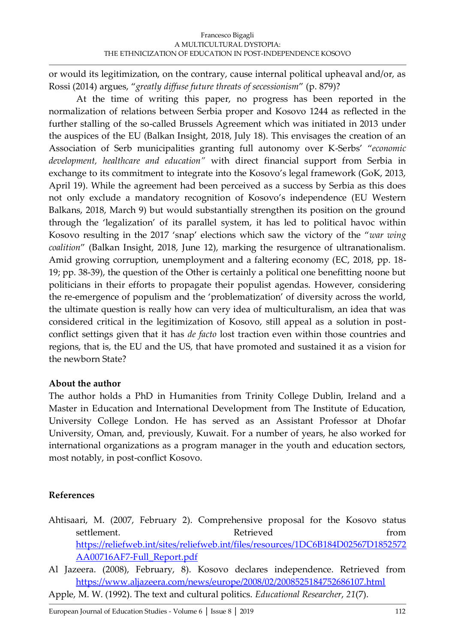or would its legitimization, on the contrary, cause internal political upheaval and/or, as Rossi (2014) argues, "*greatly diffuse future threats of secessionism*" (p. 879)?

At the time of writing this paper, no progress has been reported in the normalization of relations between Serbia proper and Kosovo 1244 as reflected in the further stalling of the so-called Brussels Agreement which was initiated in 2013 under the auspices of the EU (Balkan Insight, 2018, July 18). This envisages the creation of an Association of Serb municipalities granting full autonomy over K-Serbs' "*economic development, healthcare and education"* with direct financial support from Serbia in exchange to its commitment to integrate into the Kosovo's legal framework (GoK, 2013, April 19). While the agreement had been perceived as a success by Serbia as this does not only exclude a mandatory recognition of Kosovo's independence (EU Western Balkans, 2018, March 9) but would substantially strengthen its position on the ground through the 'legalization' of its parallel system, it has led to political havoc within Kosovo resulting in the 2017 'snap' elections which saw the victory of the "*war wing coalition*" (Balkan Insight, 2018, June 12), marking the resurgence of ultranationalism. Amid growing corruption, unemployment and a faltering economy (EC, 2018, pp. 18- 19; pp. 38-39), the question of the Other is certainly a political one benefitting noone but politicians in their efforts to propagate their populist agendas. However, considering the re-emergence of populism and the 'problematization' of diversity across the world, the ultimate question is really how can very idea of multiculturalism, an idea that was considered critical in the legitimization of Kosovo, still appeal as a solution in postconflict settings given that it has *de facto* lost traction even within those countries and regions, that is, the EU and the US, that have promoted and sustained it as a vision for the newborn State?

### **About the author**

The author holds a PhD in Humanities from Trinity College Dublin, Ireland and a Master in Education and International Development from The Institute of Education, University College London. He has served as an Assistant Professor at Dhofar University, Oman, and, previously, Kuwait. For a number of years, he also worked for international organizations as a program manager in the youth and education sectors, most notably, in post-conflict Kosovo.

### **References**

- Ahtisaari, M. (2007, February 2). Comprehensive proposal for the Kosovo status settlement. The contract of the contract of the contract of the contract of the contract of the contract of the contract of the contract of the contract of the contract of the contract of the contract of the contract of th [https://reliefweb.int/sites/reliefweb.int/files/resources/1DC6B184D02567D1852572](https://reliefweb.int/sites/reliefweb.int/files/resources/1DC6B184D02567D1852572AA00716AF7-Full_Report.pdf) [AA00716AF7-Full\\_Report.pdf](https://reliefweb.int/sites/reliefweb.int/files/resources/1DC6B184D02567D1852572AA00716AF7-Full_Report.pdf)
- Al Jazeera. (2008), February, 8). Kosovo declares independence. Retrieved from <https://www.aljazeera.com/news/europe/2008/02/2008525184752686107.html>

Apple, M. W. (1992). The text and cultural politics. *Educational Researcher*, *21*(7).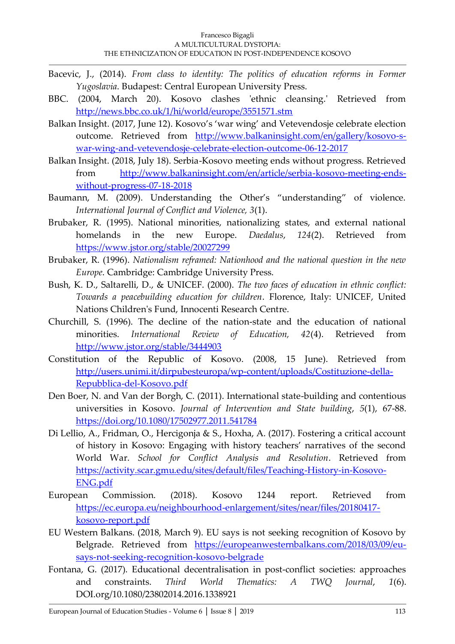- Bacevic, J., (2014). *From class to identity: The politics of education reforms in Former Yugoslavia*. Budapest: Central European University Press.
- BBC. (2004, March 20). Kosovo clashes 'ethnic cleansing.' Retrieved from <http://news.bbc.co.uk/1/hi/world/europe/3551571.stm>
- Balkan Insight. (2017, June 12). Kosovo's 'war wing' and Vetevendosje celebrate election outcome. Retrieved from [http://www.balkaninsight.com/en/gallery/kosovo-s](http://www.balkaninsight.com/en/gallery/kosovo-s-war-wing-and-vetevendosje-celebrate-election-outcome-06-12-2017)[war-wing-and-vetevendosje-celebrate-election-outcome-06-12-2017](http://www.balkaninsight.com/en/gallery/kosovo-s-war-wing-and-vetevendosje-celebrate-election-outcome-06-12-2017)
- Balkan Insight. (2018, July 18). Serbia-Kosovo meeting ends without progress. Retrieved from [http://www.balkaninsight.com/en/article/serbia-kosovo-meeting-ends](http://www.balkaninsight.com/en/article/serbia-kosovo-meeting-ends-without-progress-07-18-2018)[without-progress-07-18-2018](http://www.balkaninsight.com/en/article/serbia-kosovo-meeting-ends-without-progress-07-18-2018)
- Baumann, M. (2009). Understanding the Other's "understanding" of violence. *International Journal of Conflict and Violence, 3*(1).
- Brubaker, R. (1995). National minorities, nationalizing states, and external national homelands in the new Europe. *Daedalus*, *124*(2). Retrieved from <https://www.jstor.org/stable/20027299>
- Brubaker, R. (1996). *Nationalism reframed: Nationhood and the national question in the new Europe*. Cambridge: Cambridge University Press.
- Bush, K. D., Saltarelli, D., & UNICEF. (2000). *The two faces of education in ethnic conflict: Towards a peacebuilding education for children*. Florence, Italy: UNICEF, United Nations Children's Fund, Innocenti Research Centre.
- Churchill, S. (1996). The decline of the nation-state and the education of national minorities. *International Review of Education, 42*(4). Retrieved from <http://www.jstor.org/stable/3444903>
- Constitution of the Republic of Kosovo. (2008, 15 June). Retrieved from [http://users.unimi.it/dirpubesteuropa/wp-content/uploads/Costituzione-della-](http://users.unimi.it/dirpubesteuropa/wp-content/uploads/Costituzione-della-Repubblica-del-Kosovo.pdf)[Repubblica-del-Kosovo.pdf](http://users.unimi.it/dirpubesteuropa/wp-content/uploads/Costituzione-della-Repubblica-del-Kosovo.pdf)
- Den Boer, N. and Van der Borgh, C. (2011). International state-building and contentious universities in Kosovo. *Journal of Intervention and State building*, *5*(1), 67-88. <https://doi.org/10.1080/17502977.2011.541784>
- Di Lellio, A., Fridman, O., Hercigonja & S., Hoxha, A. (2017). Fostering a critical account of history in Kosovo: Engaging with history teachers' narratives of the second World War. *School for Conflict Analysis and Resolution*. Retrieved from [https://activity.scar.gmu.edu/sites/default/files/Teaching-History-in-Kosovo-](https://activity.scar.gmu.edu/sites/default/files/Teaching-History-in-Kosovo-ENG.pdf)[ENG.pdf](https://activity.scar.gmu.edu/sites/default/files/Teaching-History-in-Kosovo-ENG.pdf)
- European Commission. (2018). Kosovo 1244 report. Retrieved from [https://ec.europa.eu/neighbourhood-enlargement/sites/near/files/20180417](https://ec.europa.eu/neighbourhood-enlargement/sites/near/files/20180417-kosovo-report.pdf) [kosovo-report.pdf](https://ec.europa.eu/neighbourhood-enlargement/sites/near/files/20180417-kosovo-report.pdf)
- EU Western Balkans. (2018, March 9). EU says is not seeking recognition of Kosovo by Belgrade. Retrieved from [https://europeanwesternbalkans.com/2018/03/09/eu](https://europeanwesternbalkans.com/2018/03/09/eu-says-not-seeking-recognition-kosovo-belgrade)[says-not-seeking-recognition-kosovo-belgrade](https://europeanwesternbalkans.com/2018/03/09/eu-says-not-seeking-recognition-kosovo-belgrade)
- Fontana, G. (2017). Educational decentralisation in post-conflict societies: approaches and constraints. *Third World Thematics: A TWQ Journal*, *1*(6). DOI.org/10.1080/23802014.2016.1338921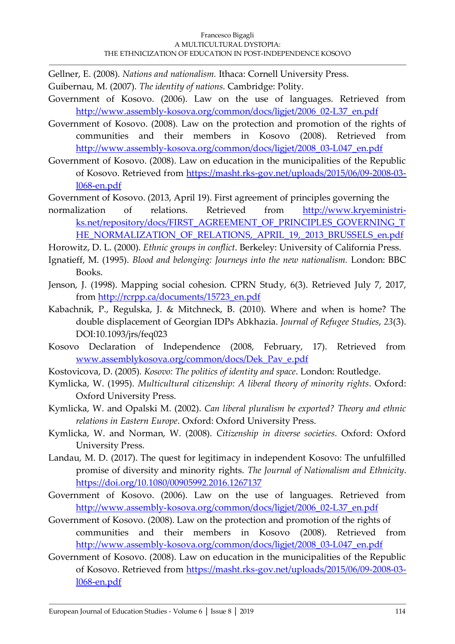Gellner, E. (2008). *Nations and nationalism.* Ithaca: Cornell University Press.

- Guibernau, M. (2007). *The identity of nations*. Cambridge: Polity.
- Government of Kosovo. (2006). Law on the use of languages. Retrieved from [http://www.assembly-kosova.org/common/docs/ligjet/2006\\_02-L37\\_en.pdf](http://www.assembly-kosova.org/common/docs/ligjet/2006_02-L37_en.pdf)
- Government of Kosovo. (2008). Law on the protection and promotion of the rights of communities and their members in Kosovo (2008). Retrieved from [http://www.assembly-kosova.org/common/docs/ligjet/2008\\_03-L047\\_en.pdf](http://www.assembly-kosova.org/common/docs/ligjet/2008_03-L047_en.pdf)
- Government of Kosovo. (2008). Law on education in the municipalities of the Republic of Kosovo. Retrieved from [https://masht.rks-gov.net/uploads/2015/06/09-2008-03](https://masht.rks-gov.net/uploads/2015/06/09-2008-03-l068-en.pdf) [l068-en.pdf](https://masht.rks-gov.net/uploads/2015/06/09-2008-03-l068-en.pdf)
- Government of Kosovo. (2013, April 19). First agreement of principles governing the
- normalization of relations. Retrieved from [http://www.kryeministri](http://www.kryeministri-ks.net/repository/docs/FIRST_AGREEMENT_OF_PRINCIPLES_GOVERNING_THE_NORMALIZATION_OF_RELATIONS,_APRIL_19,_2013_BRUSSELS_en.pdf)[ks.net/repository/docs/FIRST\\_AGREEMENT\\_OF\\_PRINCIPLES\\_GOVERNING\\_T](http://www.kryeministri-ks.net/repository/docs/FIRST_AGREEMENT_OF_PRINCIPLES_GOVERNING_THE_NORMALIZATION_OF_RELATIONS,_APRIL_19,_2013_BRUSSELS_en.pdf) [HE\\_NORMALIZATION\\_OF\\_RELATIONS,\\_APRIL\\_19,\\_2013\\_BRUSSELS\\_en.pdf](http://www.kryeministri-ks.net/repository/docs/FIRST_AGREEMENT_OF_PRINCIPLES_GOVERNING_THE_NORMALIZATION_OF_RELATIONS,_APRIL_19,_2013_BRUSSELS_en.pdf)
- Horowitz, D. L. (2000). *Ethnic groups in conflict*. Berkeley: University of California Press.
- Ignatieff, M. (1995). *Blood and belonging: Journeys into the new nationalism.* London: BBC Books.
- Jenson, J. (1998). Mapping social cohesion. CPRN Study, 6(3). Retrieved July 7, 2017, from [http://rcrpp.ca/documents/15723\\_en.pdf](http://rcrpp.ca/documents/15723_en.pdf)
- Kabachnik, P., Regulska, J. & Mitchneck, B. (2010). Where and when is home? The double displacement of Georgian IDPs Abkhazia. *Journal of Refugee Studies*, *23*(3). DOI:10.1093/jrs/feq023
- Kosovo Declaration of Independence (2008, February, 17). Retrieved from [www.assemblykosova.org/common/docs/Dek\\_Pav\\_e.pdf](http://www.assemblykosova.org/common/docs/Dek_Pav_e.pdf)
- Kostovicova, D. (2005). *Kosovo: The politics of identity and space*. London: Routledge.
- Kymlicka, W. (1995). *Multicultural citizenship: A liberal theory of minority rights*. Oxford: Oxford University Press.
- Kymlicka, W. and Opalski M. (2002). *Can liberal pluralism be exported? Theory and ethnic relations in Eastern Europe*. Oxford: Oxford University Press.
- Kymlicka, W. and Norman, W. (2008). *Citizenship in diverse societies*. Oxford: Oxford University Press.
- Landau, M. D. (2017). The quest for legitimacy in independent Kosovo: The unfulfilled promise of diversity and minority rights. *The Journal of Nationalism and Ethnicity*. <https://doi.org/10.1080/00905992.2016.1267137>
- Government of Kosovo. (2006). Law on the use of languages. Retrieved from [http://www.assembly-kosova.org/common/docs/ligjet/2006\\_02-L37\\_en.pdf](http://www.assembly-kosova.org/common/docs/ligjet/2006_02-L37_en.pdf)
- Government of Kosovo. (2008). Law on the protection and promotion of the rights of communities and their members in Kosovo (2008). Retrieved from [http://www.assembly-kosova.org/common/docs/ligjet/2008\\_03-L047\\_en.pdf](http://www.assembly-kosova.org/common/docs/ligjet/2008_03-L047_en.pdf)
- Government of Kosovo. (2008). Law on education in the municipalities of the Republic of Kosovo. Retrieved from [https://masht.rks-gov.net/uploads/2015/06/09-2008-03](https://masht.rks-gov.net/uploads/2015/06/09-2008-03-l068-en.pdf) [l068-en.pdf](https://masht.rks-gov.net/uploads/2015/06/09-2008-03-l068-en.pdf)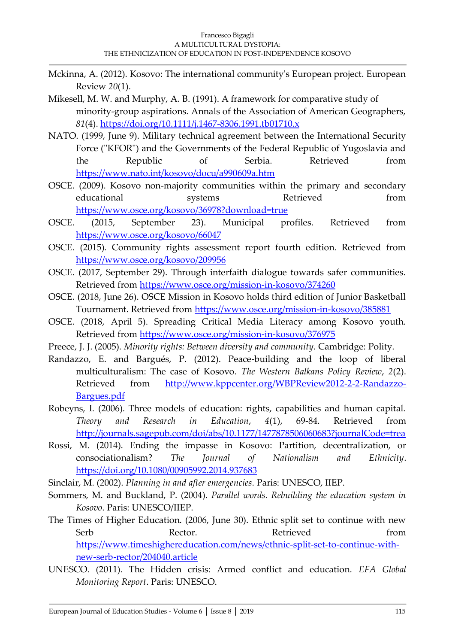- Mckinna, A. (2012). Kosovo: The international community's European project. European Review *20*(1).
- Mikesell, M. W. and Murphy, A. B. (1991). A framework for comparative study of minority-group aspirations. Annals of the Association of American Geographers, *81*(4).<https://doi.org/10.1111/j.1467-8306.1991.tb01710.x>
- NATO. (1999, June 9). Military technical agreement between the International Security Force ("KFOR") and the Governments of the Federal Republic of Yugoslavia and the Republic of Serbia. Retrieved from <https://www.nato.int/kosovo/docu/a990609a.htm>
- OSCE. (2009). Kosovo non-majority communities within the primary and secondary educational systems Retrieved from <https://www.osce.org/kosovo/36978?download=true>
- OSCE. (2015, September 23). Municipal profiles. Retrieved from <https://www.osce.org/kosovo/66047>
- OSCE. (2015). Community rights assessment report fourth edition. Retrieved from <https://www.osce.org/kosovo/209956>
- OSCE. (2017, September 29). Through interfaith dialogue towards safer communities. Retrieved from<https://www.osce.org/mission-in-kosovo/374260>
- OSCE. (2018, June 26). OSCE Mission in Kosovo holds third edition of Junior Basketball Tournament. Retrieved from<https://www.osce.org/mission-in-kosovo/385881>
- OSCE. (2018, April 5). Spreading Critical Media Literacy among Kosovo youth. Retrieved from<https://www.osce.org/mission-in-kosovo/376975>
- Preece, J. J. (2005). *Minority rights: Between diversity and community*. Cambridge: Polity.
- Randazzo, E. and Bargués, P. (2012). Peace-building and the loop of liberal multiculturalism: The case of Kosovo. *The Western Balkans Policy Review*, *2*(2). Retrieved from [http://www.kppcenter.org/WBPReview2012-2-2-Randazzo-](http://www.kppcenter.org/WBPReview2012-2-2-Randazzo-Bargues.pdf)[Bargues.pdf](http://www.kppcenter.org/WBPReview2012-2-2-Randazzo-Bargues.pdf)
- Robeyns, I. (2006). Three models of education: rights, capabilities and human capital. *Theory and Research in Education*, *4*(1), 69-84. Retrieved from <http://journals.sagepub.com/doi/abs/10.1177/1477878506060683?journalCode=trea>
- Rossi, M. (2014). Ending the impasse in Kosovo: Partition, decentralization, or consociationalism? *The Journal of Nationalism and Ethnicity*. <https://doi.org/10.1080/00905992.2014.937683>
- Sinclair, M. (2002). *Planning in and after emergencies*. Paris: UNESCO, IIEP.
- Sommers, M. and Buckland, P. (2004). *Parallel words. Rebuilding the education system in Kosovo*. Paris: UNESCO/IIEP.
- The Times of Higher Education. (2006, June 30). Ethnic split set to continue with new Serb Rector. Rector. Retrieved from [https://www.timeshighereducation.com/news/ethnic-split-set-to-continue-with](https://www.timeshighereducation.com/news/ethnic-split-set-to-continue-with-new-serb-rector/204040.article)[new-serb-rector/204040.article](https://www.timeshighereducation.com/news/ethnic-split-set-to-continue-with-new-serb-rector/204040.article)
- UNESCO. (2011). The Hidden crisis: Armed conflict and education. *EFA Global Monitoring Report*. Paris: UNESCO.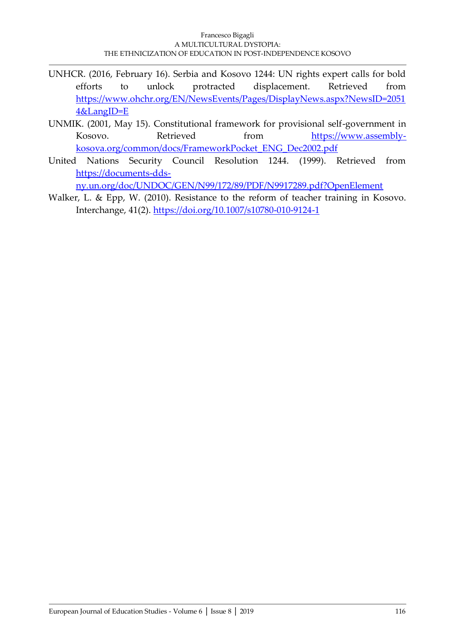- UNHCR. (2016, February 16). Serbia and Kosovo 1244: UN rights expert calls for bold efforts to unlock protracted displacement. Retrieved from [https://www.ohchr.org/EN/NewsEvents/Pages/DisplayNews.aspx?NewsID=2051](https://www.ohchr.org/EN/NewsEvents/Pages/DisplayNews.aspx?NewsID=20514&LangID=E) [4&LangID=E](https://www.ohchr.org/EN/NewsEvents/Pages/DisplayNews.aspx?NewsID=20514&LangID=E)
- UNMIK. (2001, May 15). Constitutional framework for provisional self-government in Kosovo. Retrieved from [https://www.assembly](https://www.assembly-kosova.org/common/docs/FrameworkPocket_ENG_Dec2002.pdf)[kosova.org/common/docs/FrameworkPocket\\_ENG\\_Dec2002.pdf](https://www.assembly-kosova.org/common/docs/FrameworkPocket_ENG_Dec2002.pdf)
- United Nations Security Council Resolution 1244. (1999). Retrieved from [https://documents-dds-](https://documents-dds-ny.un.org/doc/UNDOC/GEN/N99/172/89/PDF/N9917289.pdf?OpenElement)

[ny.un.org/doc/UNDOC/GEN/N99/172/89/PDF/N9917289.pdf?OpenElement](https://documents-dds-ny.un.org/doc/UNDOC/GEN/N99/172/89/PDF/N9917289.pdf?OpenElement) 

Walker, L. & Epp, W. (2010). Resistance to the reform of teacher training in Kosovo. Interchange, 41(2).<https://doi.org/10.1007/s10780-010-9124-1>